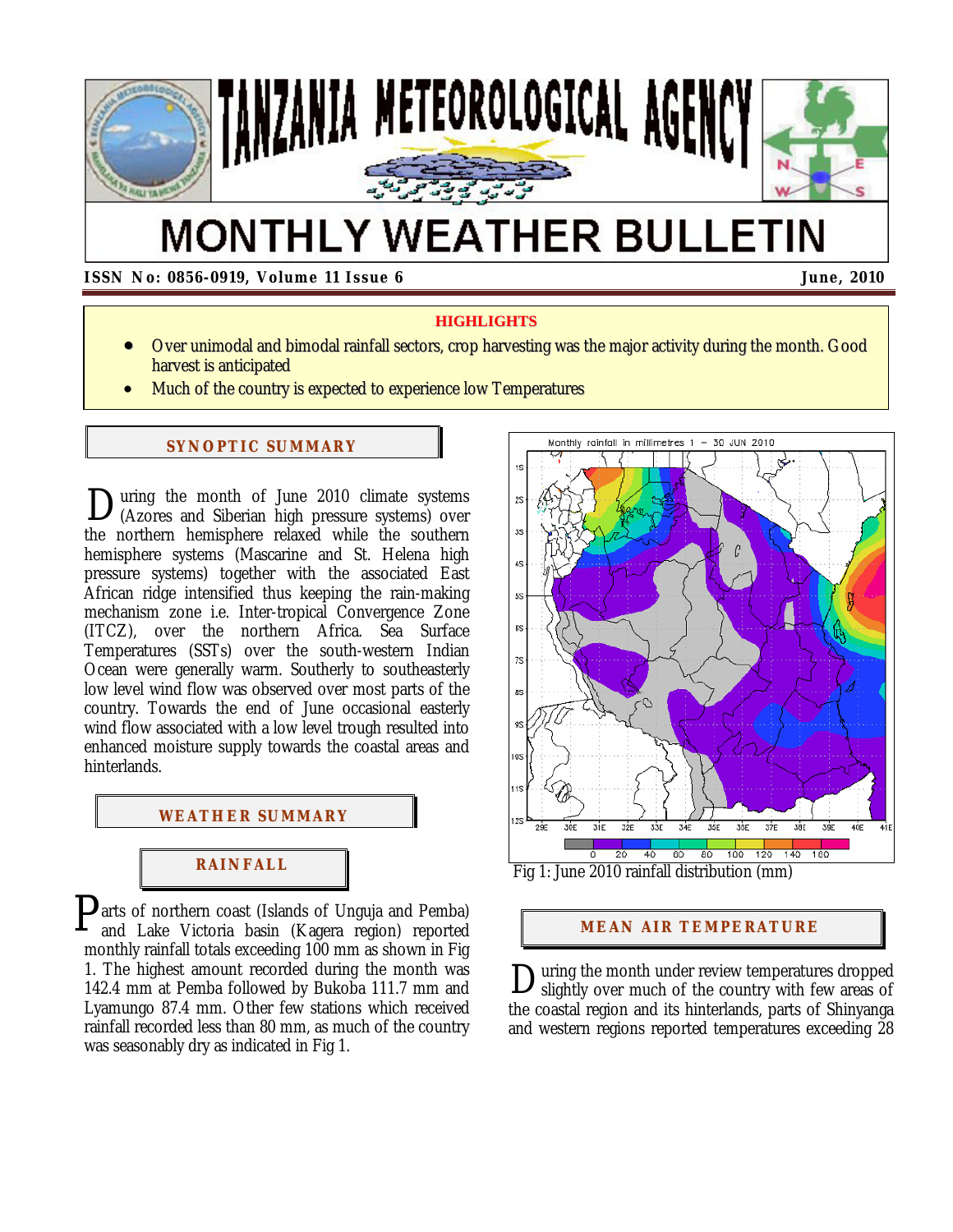

# **MONTHLY WEATHER BULLETIN**

 **ISSN No: 0856-0919, Volume 11 Issue 6 June, 2010**

### **HIGHLIGHTS**

- Over unimodal and bimodal rainfall sectors, crop harvesting was the major activity during the month. Good harvest is anticipated
- Much of the country is expected to experience low Temperatures

### **SYNOPTIC SUMMARY**

uring the month of June 2010 climate systems During the month of June 2010 climate systems<br>(Azores and Siberian high pressure systems) over the northern hemisphere relaxed while the southern hemisphere systems (Mascarine and St. Helena high pressure systems) together with the associated East African ridge intensified thus keeping the rain-making mechanism zone i.e. Inter-tropical Convergence Zone (ITCZ), over the northern Africa. Sea Surface Temperatures (SSTs) over the south-western Indian Ocean were generally warm. Southerly to southeasterly low level wind flow was observed over most parts of the country. Towards the end of June occasional easterly wind flow associated with a low level trough resulted into enhanced moisture supply towards the coastal areas and hinterlands.



### **RAI NFALL**

 $\mathbf{P}$ arts of northern coast (Islands of Unguja and Pemba)<br>and Lake Victoria basin (Kagera region) reported and Lake Victoria basin (Kagera region) reported monthly rainfall totals exceeding 100 mm as shown in Fig 1. The highest amount recorded during the month was 142.4 mm at Pemba followed by Bukoba 111.7 mm and Lyamungo 87.4 mm. Other few stations which received rainfall recorded less than 80 mm, as much of the country was seasonably dry as indicated in Fig 1.



### **MEAN AIR TEMPERATURE**

uring the month under review temperatures dropped During the month under review temperatures dropped<br>Slightly over much of the country with few areas of the coastal region and its hinterlands, parts of Shinyanga and western regions reported temperatures exceeding 28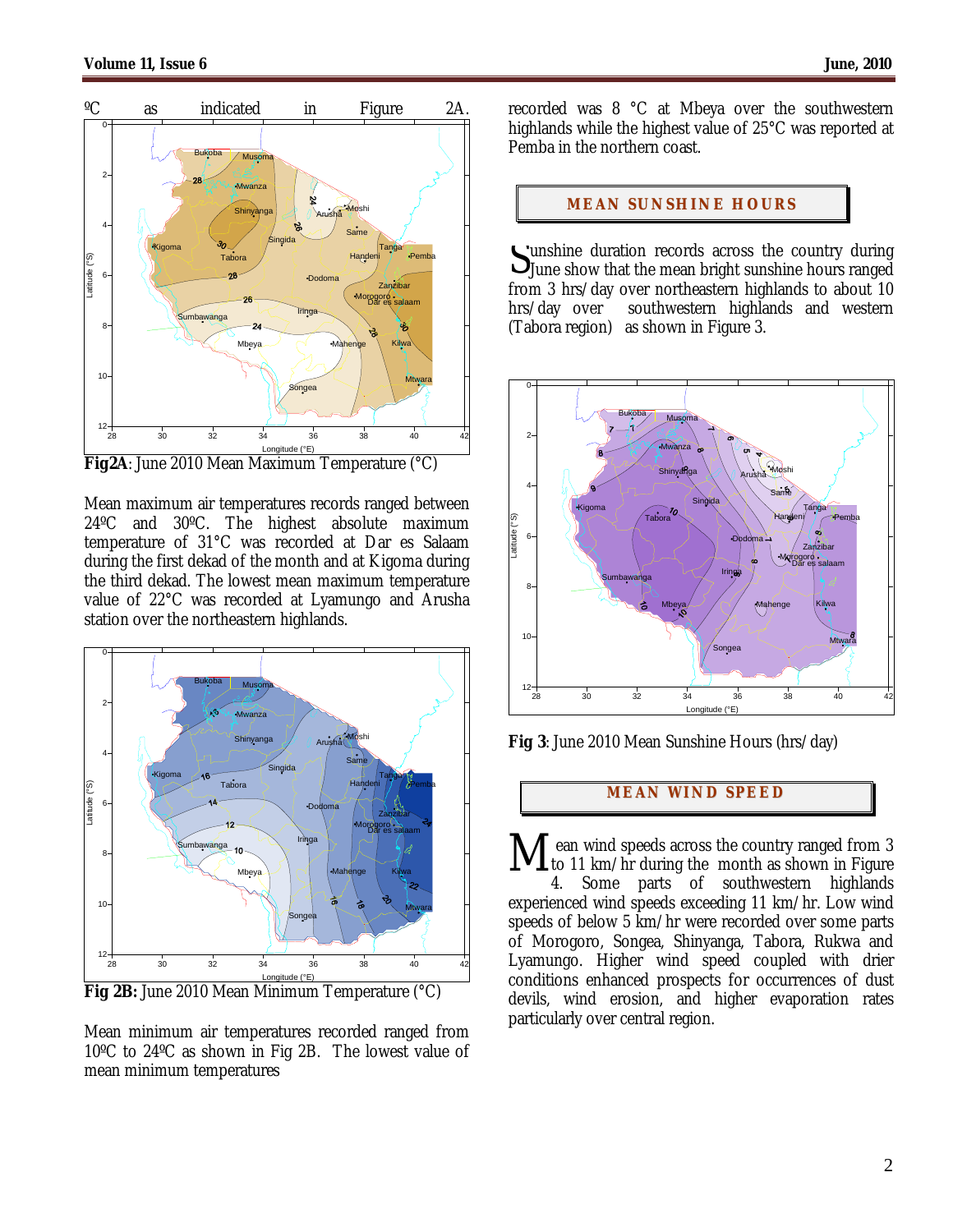

Longitude (°E) **Fig2A**: June 2010 Mean Maximum Temperature (°C)

Mean maximum air temperatures records ranged between 24ºC and 30ºC. The highest absolute maximum temperature of 31°C was recorded at Dar es Salaam during the first dekad of the month and at Kigoma during the third dekad. The lowest mean maximum temperature value of 22°C was recorded at Lyamungo and Arusha station over the northeastern highlands.



**Fig 2B:** June 2010 Mean Minimum Temperature (°C)

Mean minimum air temperatures recorded ranged from 10ºC to 24ºC as shown in Fig 2B. The lowest value of mean minimum temperatures

recorded was 8 °C at Mbeya over the southwestern highlands while the highest value of 25°C was reported at Pemba in the northern coast.

### **MEAN SUNSHINE HOURS**

unshine duration records across the country during Sunshine duration records across the country during<br>June show that the mean bright sunshine hours ranged from 3 hrs/day over northeastern highlands to about 10 hrs/day over southwestern highlands and western southwestern highlands and western (Tabora region) as shown in Figure 3.



**Fig 3**: June 2010 Mean Sunshine Hours (hrs/day)

## **MEAN WI ND SPEED**

ean wind speeds across the country ranged from 3 to 11 km/hr during the month as shown in Figure 4. Some parts of southwestern highlands experienced wind speeds exceeding 11 km/hr. Low wind speeds of below 5 km/hr were recorded over some parts of Morogoro, Songea, Shinyanga, Tabora, Rukwa and Lyamungo. Higher wind speed coupled with drier conditions enhanced prospects for occurrences of dust devils, wind erosion, and higher evaporation rates particularly over central region. M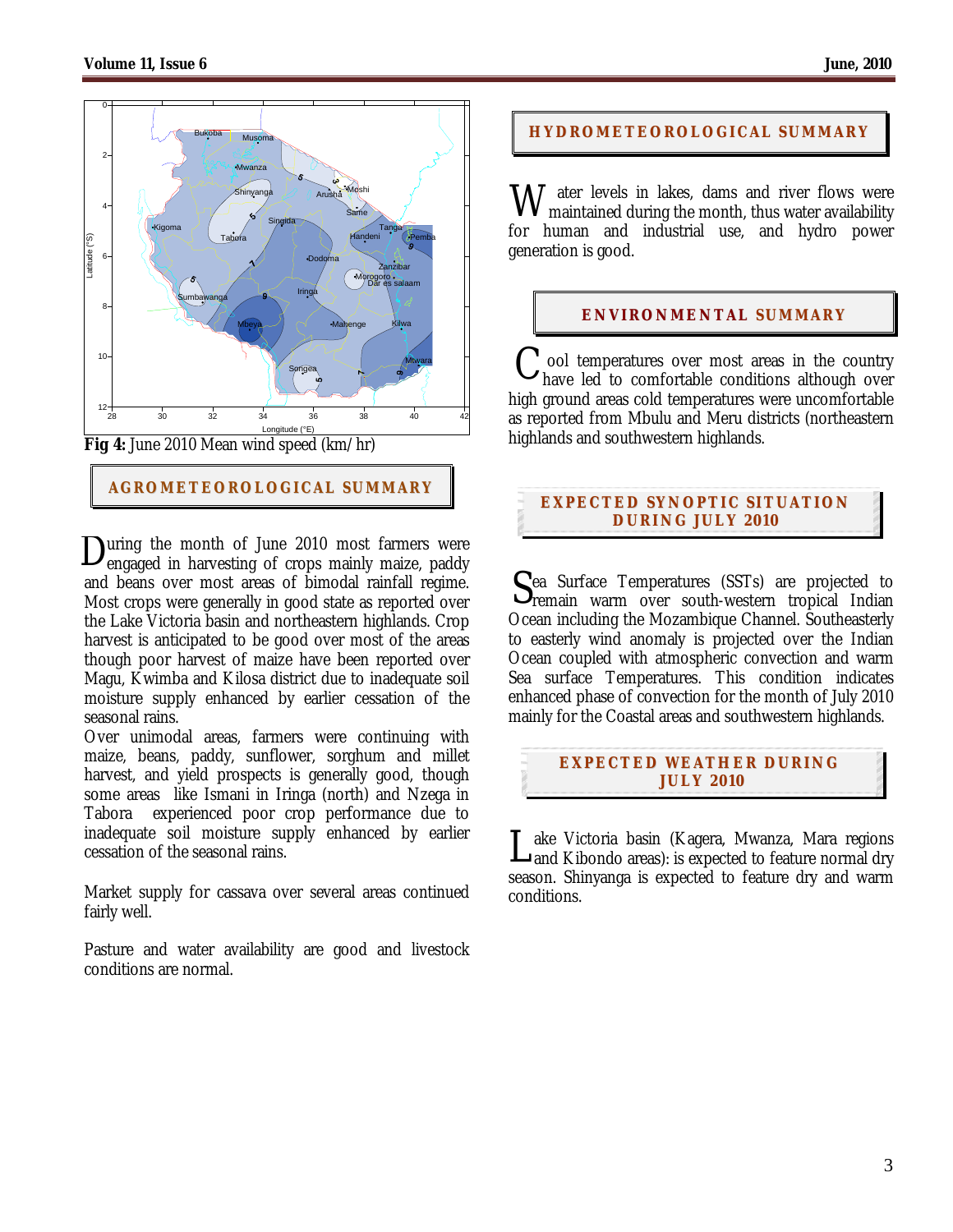

### **AGROMETEOROLOGICAL SUMMARY**

uring the month of June 2010 most farmers were **D**uring the month of June 2010 most farmers were engaged in harvesting of crops mainly maize, paddy and beans over most areas of bimodal rainfall regime. Most crops were generally in good state as reported over the Lake Victoria basin and northeastern highlands. Crop harvest is anticipated to be good over most of the areas though poor harvest of maize have been reported over Magu, Kwimba and Kilosa district due to inadequate soil moisture supply enhanced by earlier cessation of the seasonal rains.

Over unimodal areas, farmers were continuing with maize, beans, paddy, sunflower, sorghum and millet harvest, and yield prospects is generally good, though some areas like Ismani in Iringa (north) and Nzega in Tabora experienced poor crop performance due to inadequate soil moisture supply enhanced by earlier cessation of the seasonal rains.

Market supply for cassava over several areas continued fairly well.

Pasture and water availability are good and livestock conditions are normal.

### **HYDROMETEOROLOGICAL SUMMARY**

**W** ater levels in lakes, dams and river flows were maintained during the month, thus water availability maintained during the month, thus water availability for human and industrial use, and hydro power generation is good.

### **ENVIRONMENTAL SUMMARY**

ool temperatures over most areas in the country have led to comfortable conditions although over high ground areas cold temperatures were uncomfortable as reported from Mbulu and Meru districts (northeastern highlands and southwestern highlands. C

### **EXPECTED SYNOPTIC SITUATION DURI NG J ULY 201 0**

ea Surface Temperatures (SSTs) are projected to  $S<sub>en</sub>$  Surface Temperatures (SSTs) are projected to remain warm over south-western tropical Indian Ocean including the Mozambique Channel. Southeasterly to easterly wind anomaly is projected over the Indian Ocean coupled with atmospheric convection and warm Sea surface Temperatures. This condition indicates enhanced phase of convection for the month of July 2010 mainly for the Coastal areas and southwestern highlands.

### **EXPECTED WEATHER DURING JULY 201 0**

ake Victoria basin (Kagera, Mwanza, Mara regions Lake Victoria basin (Kagera, Mwanza, Mara regions<br>Land Kibondo areas): is expected to feature normal dry season. Shinyanga is expected to feature dry and warm conditions.